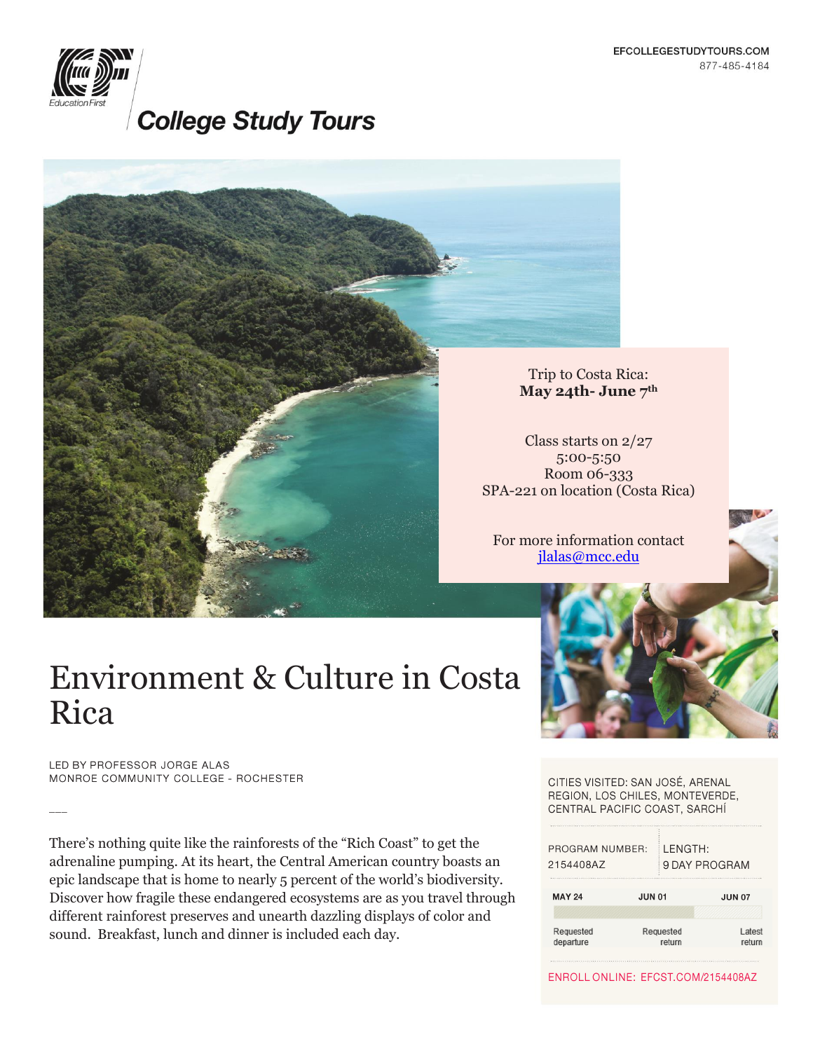

# **College Study Tours**



Trip to Costa Rica: **May 24th- June 7th**

Class starts on 2/27 5:00-5:50 Room 06-333 SPA-221 on location (Costa Rica)

For more information contact [jlalas@mcc.edu](mailto:jlalas@mcc.edu)

Environment & Culture in Costa Rica

LED BY PROFESSOR JORGE ALAS MONROE COMMUNITY COLLEGE - ROCHESTER

There's nothing quite like the rainforests of the "Rich Coast" to get the adrenaline pumping. At its heart, the Central American country boasts an epic landscape that is home to nearly 5 percent of the world's biodiversity. Discover how fragile these endangered ecosystems are as you travel through different rainforest preserves and unearth dazzling displays of color and sound. Breakfast, lunch and dinner is included each day.

CITIES VISITED: SAN JOSÉ, ARENAL REGION, LOS CHILES, MONTEVERDE, CENTRAL PACIFIC COAST, SARCHÍ

| PROGRAM NUMBER:<br>2154408AZ<br><u> 1983 - John Stein, Amerikaansk filosoof en filosoof (d. 1984)</u> |               | LENGTH: | 9 DAY PROGRAM    |
|-------------------------------------------------------------------------------------------------------|---------------|---------|------------------|
| <b>MAY 24</b>                                                                                         | <b>JUN 01</b> |         | <b>JUN 07</b>    |
| Requested<br>departure                                                                                | Requested     | return  | Latest<br>return |

ENROLL ONLINE: EFCST.COM/2154408AZ